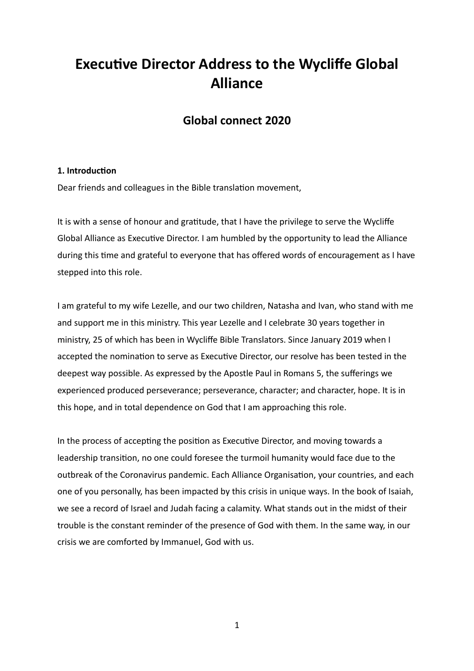# **Executive Director Address to the Wycliffe Global Alliance**

# **Global connect 2020**

# **1. Introduction**

Dear friends and colleagues in the Bible translation movement.

It is with a sense of honour and gratitude, that I have the privilege to serve the Wycliffe Global Alliance as Executive Director. I am humbled by the opportunity to lead the Alliance during this time and grateful to everyone that has offered words of encouragement as I have stepped into this role.

I am grateful to my wife Lezelle, and our two children, Natasha and Ivan, who stand with me and support me in this ministry. This year Lezelle and I celebrate 30 years together in ministry, 25 of which has been in Wycliffe Bible Translators. Since January 2019 when I accepted the nomination to serve as Executive Director, our resolve has been tested in the deepest way possible. As expressed by the Apostle Paul in Romans 5, the sufferings we experienced produced perseverance; perseverance, character; and character, hope. It is in this hope, and in total dependence on God that I am approaching this role.

In the process of accepting the position as Executive Director, and moving towards a leadership transition, no one could foresee the turmoil humanity would face due to the outbreak of the Coronavirus pandemic. Each Alliance Organisation, your countries, and each one of you personally, has been impacted by this crisis in unique ways. In the book of Isaiah, we see a record of Israel and Judah facing a calamity. What stands out in the midst of their trouble is the constant reminder of the presence of God with them. In the same way, in our crisis we are comforted by Immanuel, God with us.

1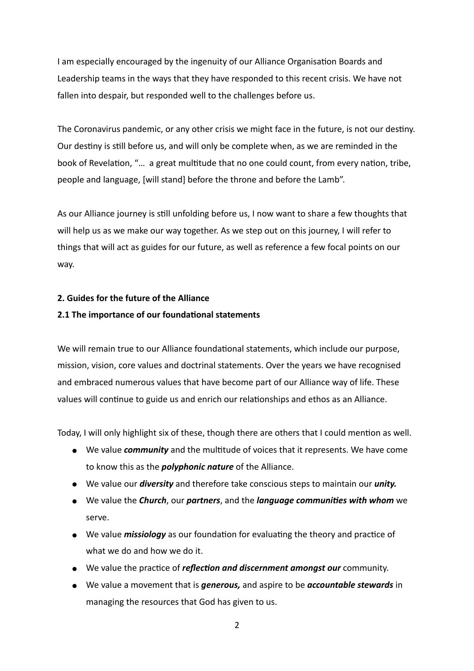I am especially encouraged by the ingenuity of our Alliance Organisation Boards and Leadership teams in the ways that they have responded to this recent crisis. We have not fallen into despair, but responded well to the challenges before us.

The Coronavirus pandemic, or any other crisis we might face in the future, is not our destiny. Our destiny is still before us, and will only be complete when, as we are reminded in the book of Revelation, "... a great multitude that no one could count, from every nation, tribe, people and language, [will stand] before the throne and before the Lamb".

As our Alliance journey is still unfolding before us, I now want to share a few thoughts that will help us as we make our way together. As we step out on this journey, I will refer to things that will act as guides for our future, as well as reference a few focal points on our way.

# **2. Guides for the future of the Alliance**

# **2.1 The importance of our foundational statements**

We will remain true to our Alliance foundational statements, which include our purpose, mission, vision, core values and doctrinal statements. Over the years we have recognised and embraced numerous values that have become part of our Alliance way of life. These values will continue to guide us and enrich our relationships and ethos as an Alliance.

Today, I will only highlight six of these, though there are others that I could mention as well.

- We value *community* and the multitude of voices that it represents. We have come to know this as the *polyphonic nature* of the Alliance.
- We value our *diversity* and therefore take conscious steps to maintain our *unity.*
- We value the *Church*, our *partners*, and the *language communities with whom* we serve.
- We value *missiology* as our foundation for evaluating the theory and practice of what we do and how we do it.
- We value the prac4ce of *reflec6on and discernment amongst our* community.
- We value a movement that is *generous,* and aspire to be *accountable stewards* in managing the resources that God has given to us.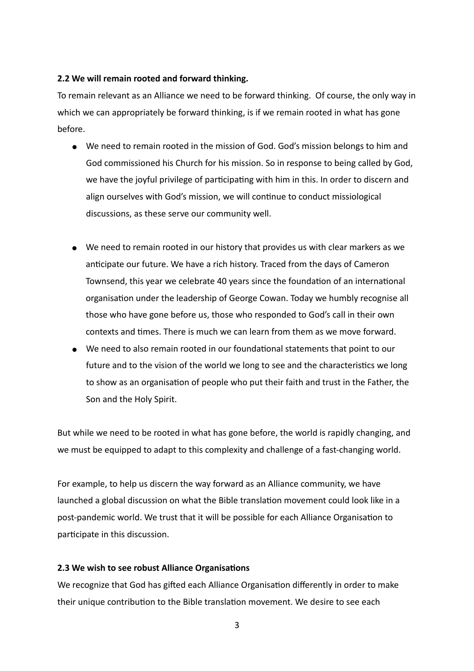#### **2.2 We will remain rooted and forward thinking.**

To remain relevant as an Alliance we need to be forward thinking. Of course, the only way in which we can appropriately be forward thinking, is if we remain rooted in what has gone before.

- We need to remain rooted in the mission of God. God's mission belongs to him and God commissioned his Church for his mission. So in response to being called by God, we have the joyful privilege of participating with him in this. In order to discern and align ourselves with God's mission, we will continue to conduct missiological discussions, as these serve our community well.
- We need to remain rooted in our history that provides us with clear markers as we anticipate our future. We have a rich history. Traced from the days of Cameron Townsend, this year we celebrate 40 years since the foundation of an international organisation under the leadership of George Cowan. Today we humbly recognise all those who have gone before us, those who responded to God's call in their own contexts and times. There is much we can learn from them as we move forward.
- We need to also remain rooted in our foundational statements that point to our future and to the vision of the world we long to see and the characteristics we long to show as an organisation of people who put their faith and trust in the Father, the Son and the Holy Spirit.

But while we need to be rooted in what has gone before, the world is rapidly changing, and we must be equipped to adapt to this complexity and challenge of a fast-changing world.

For example, to help us discern the way forward as an Alliance community, we have launched a global discussion on what the Bible translation movement could look like in a post-pandemic world. We trust that it will be possible for each Alliance Organisation to participate in this discussion.

#### **2.3 We wish to see robust Alliance Organisations**

We recognize that God has gifted each Alliance Organisation differently in order to make their unique contribution to the Bible translation movement. We desire to see each

3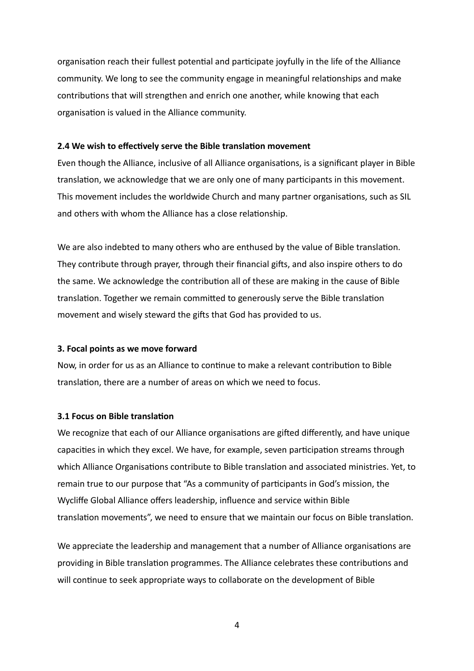organisation reach their fullest potential and participate joyfully in the life of the Alliance community. We long to see the community engage in meaningful relationships and make contributions that will strengthen and enrich one another, while knowing that each organisation is valued in the Alliance community.

## **2.4 We wish to effectively serve the Bible translation movement**

Even though the Alliance, inclusive of all Alliance organisations, is a significant player in Bible translation, we acknowledge that we are only one of many participants in this movement. This movement includes the worldwide Church and many partner organisations, such as SIL and others with whom the Alliance has a close relationship.

We are also indebted to many others who are enthused by the value of Bible translation. They contribute through prayer, through their financial gifts, and also inspire others to do the same. We acknowledge the contribution all of these are making in the cause of Bible translation. Together we remain committed to generously serve the Bible translation movement and wisely steward the gifts that God has provided to us.

#### **3. Focal points as we move forward**

Now, in order for us as an Alliance to continue to make a relevant contribution to Bible translation, there are a number of areas on which we need to focus.

## **3.1 Focus on Bible translation**

We recognize that each of our Alliance organisations are gifted differently, and have unique capacities in which they excel. We have, for example, seven participation streams through which Alliance Organisations contribute to Bible translation and associated ministries. Yet, to remain true to our purpose that "As a community of participants in God's mission, the Wycliffe Global Alliance offers leadership, influence and service within Bible translation movements", we need to ensure that we maintain our focus on Bible translation.

We appreciate the leadership and management that a number of Alliance organisations are providing in Bible translation programmes. The Alliance celebrates these contributions and will continue to seek appropriate ways to collaborate on the development of Bible

4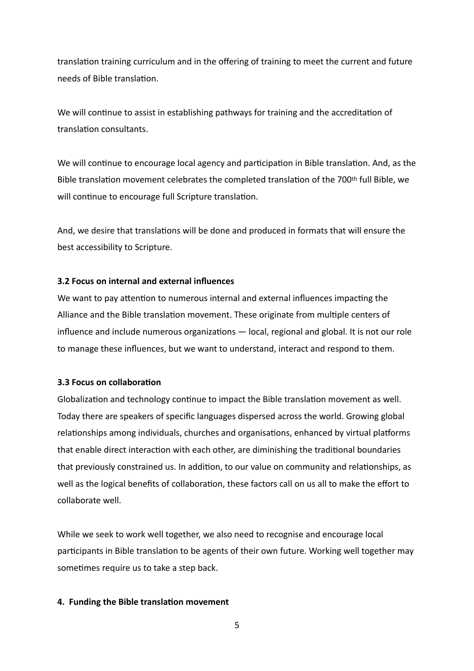translation training curriculum and in the offering of training to meet the current and future needs of Bible translation.

We will continue to assist in establishing pathways for training and the accreditation of translation consultants.

We will continue to encourage local agency and participation in Bible translation. And, as the Bible translation movement celebrates the completed translation of the 700th full Bible, we will continue to encourage full Scripture translation.

And, we desire that translations will be done and produced in formats that will ensure the best accessibility to Scripture.

# **3.2 Focus on internal and external influences**

We want to pay attention to numerous internal and external influences impacting the Alliance and the Bible translation movement. These originate from multiple centers of influence and include numerous organizations  $-$  local, regional and global. It is not our role to manage these influences, but we want to understand, interact and respond to them.

# **3.3 Focus on collaboration**

Globalization and technology continue to impact the Bible translation movement as well. Today there are speakers of specific languages dispersed across the world. Growing global relationships among individuals, churches and organisations, enhanced by virtual platforms that enable direct interaction with each other, are diminishing the traditional boundaries that previously constrained us. In addition, to our value on community and relationships, as well as the logical benefits of collaboration, these factors call on us all to make the effort to collaborate well.

While we seek to work well together, we also need to recognise and encourage local participants in Bible translation to be agents of their own future. Working well together may sometimes require us to take a step back.

# **4. Funding the Bible translation movement**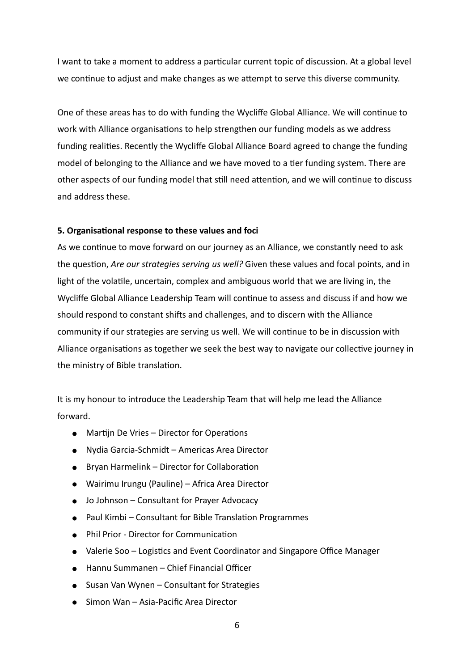I want to take a moment to address a particular current topic of discussion. At a global level we continue to adjust and make changes as we attempt to serve this diverse community.

One of these areas has to do with funding the Wycliffe Global Alliance. We will continue to work with Alliance organisations to help strengthen our funding models as we address funding realities. Recently the Wycliffe Global Alliance Board agreed to change the funding model of belonging to the Alliance and we have moved to a tier funding system. There are other aspects of our funding model that still need attention, and we will continue to discuss and address these.

# **5. Organisational response to these values and foci**

As we continue to move forward on our journey as an Alliance, we constantly need to ask the question, *Are our strategies serving us well?* Given these values and focal points, and in light of the volatile, uncertain, complex and ambiguous world that we are living in, the Wycliffe Global Alliance Leadership Team will continue to assess and discuss if and how we should respond to constant shifts and challenges, and to discern with the Alliance community if our strategies are serving us well. We will continue to be in discussion with Alliance organisations as together we seek the best way to navigate our collective journey in the ministry of Bible translation.

It is my honour to introduce the Leadership Team that will help me lead the Alliance forward.

- $\bullet$  Martijn De Vries Director for Operations
- Nydia Garcia-Schmidt Americas Area Director
- Bryan Harmelink Director for Collaboration
- Wairimu Irungu (Pauline) Africa Area Director
- Jo Johnson Consultant for Prayer Advocacy
- Paul Kimbi Consultant for Bible Translation Programmes
- Phil Prior Director for Communication
- Valerie Soo Logistics and Event Coordinator and Singapore Office Manager
- Hannu Summanen Chief Financial Officer
- Susan Van Wynen Consultant for Strategies
- Simon Wan Asia-Pacific Area Director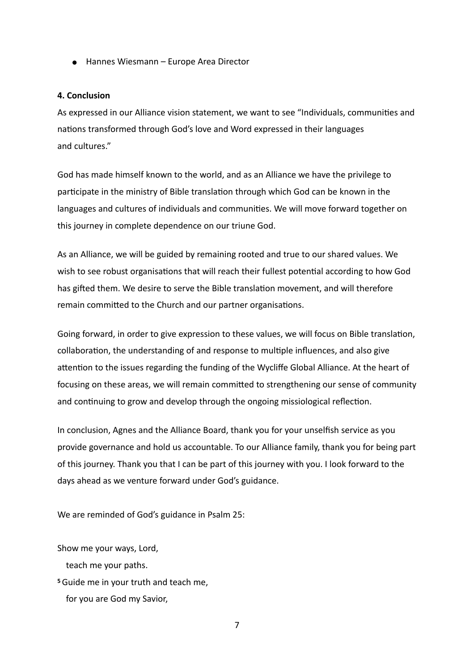● Hannes Wiesmann – Europe Area Director

#### **4. Conclusion**

As expressed in our Alliance vision statement, we want to see "Individuals, communities and nations transformed through God's love and Word expressed in their languages and cultures."

God has made himself known to the world, and as an Alliance we have the privilege to participate in the ministry of Bible translation through which God can be known in the languages and cultures of individuals and communities. We will move forward together on this journey in complete dependence on our triune God.

As an Alliance, we will be guided by remaining rooted and true to our shared values. We wish to see robust organisations that will reach their fullest potential according to how God has gifted them. We desire to serve the Bible translation movement, and will therefore remain committed to the Church and our partner organisations.

Going forward, in order to give expression to these values, we will focus on Bible translation, collaboration, the understanding of and response to multiple influences, and also give attention to the issues regarding the funding of the Wycliffe Global Alliance. At the heart of focusing on these areas, we will remain committed to strengthening our sense of community and continuing to grow and develop through the ongoing missiological reflection.

In conclusion, Agnes and the Alliance Board, thank you for your unselfish service as you provide governance and hold us accountable. To our Alliance family, thank you for being part of this journey. Thank you that I can be part of this journey with you. I look forward to the days ahead as we venture forward under God's guidance.

We are reminded of God's guidance in Psalm 25:

Show me your ways, Lord,

teach me your paths.

**<sup>5</sup>**Guide me in your truth and teach me,

for you are God my Savior,